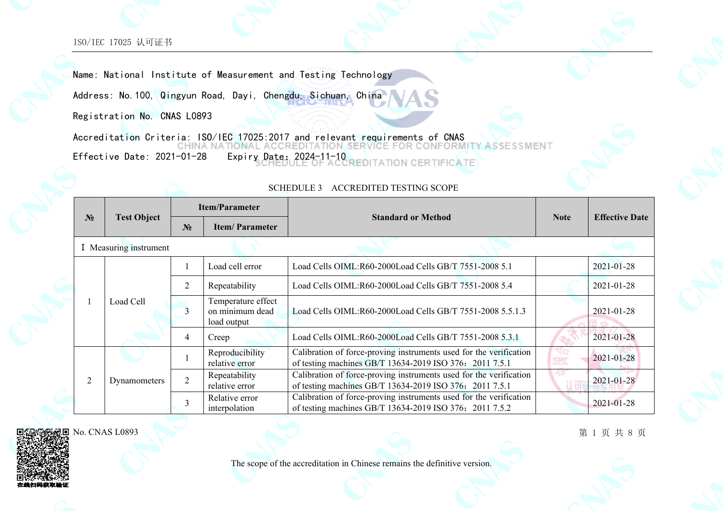Name: National Institute of Measurement and Testing Technology

Address: No.100, Qingyun Road, Dayi, Chengdu, Sichuan, China

Registration No. CNAS L0893

Accreditation Criteria: ISO/IEC 17025:2017 and relevant requirements of CNAS<br>CHINA NATIONAL ACCREDITATION SERVICE FOR CONFORM **ASSESSMENT** Effective Date: 2021-01-28 Expiry Date: 2024-11-10 **CERTIFICATE** 

|  |                |                        |                                                                                         | <b>Item/Parameter</b>                                     | <b>Standard or Method</b>                                                                                                     |                  |                       |
|--|----------------|------------------------|-----------------------------------------------------------------------------------------|-----------------------------------------------------------|-------------------------------------------------------------------------------------------------------------------------------|------------------|-----------------------|
|  | N <sub>2</sub> | <b>Test Object</b>     | N <sub>2</sub>                                                                          | <b>Item/Parameter</b>                                     |                                                                                                                               | <b>Note</b>      | <b>Effective Date</b> |
|  |                | I Measuring instrument |                                                                                         |                                                           |                                                                                                                               |                  |                       |
|  |                |                        |                                                                                         | Load cell error                                           | Load Cells OIML:R60-2000Load Cells GB/T 7551-2008 5.1                                                                         |                  | $2021 - 01 - 28$      |
|  |                |                        | $\overline{2}$<br>Repeatability<br>Temperature effect<br>on minimum dead<br>load output | Load Cells OIML:R60-2000Load Cells GB/T 7551-2008 5.4     |                                                                                                                               | $2021 - 01 - 28$ |                       |
|  |                | Load Cell              |                                                                                         | Load Cells OIML:R60-2000Load Cells GB/T 7551-2008 5.5.1.3 |                                                                                                                               | 2021-01-28       |                       |
|  |                |                        | $\overline{4}$                                                                          | Creep                                                     | Load Cells OIML:R60-2000Load Cells GB/T 7551-2008 5.3.1                                                                       |                  | 2021-01-28            |
|  |                |                        |                                                                                         | Reproducibility<br>relative error                         | Calibration of force-proving instruments used for the verification<br>of testing machines GB/T 13634-2019 ISO 376: 2011 7.5.1 |                  | $2021 - 01 - 28$      |
|  | $\overline{2}$ | Dynamometers           | $\overline{2}$                                                                          | Repeatability<br>relative error                           | Calibration of force-proving instruments used for the verification<br>of testing machines GB/T 13634-2019 ISO 376: 2011 7.5.1 |                  | $2021 - 01 - 28$      |
|  |                |                        | 3                                                                                       | Relative error<br>interpolation                           | Calibration of force-proving instruments used for the verification<br>of testing machines GB/T 13634-2019 ISO 376: 2011 7.5.2 |                  | 2021-01-28            |

### SCHEDULE 3 ACCREDITED TESTING SCOPE

No. CNAS L0893

第 1 页 共 8 页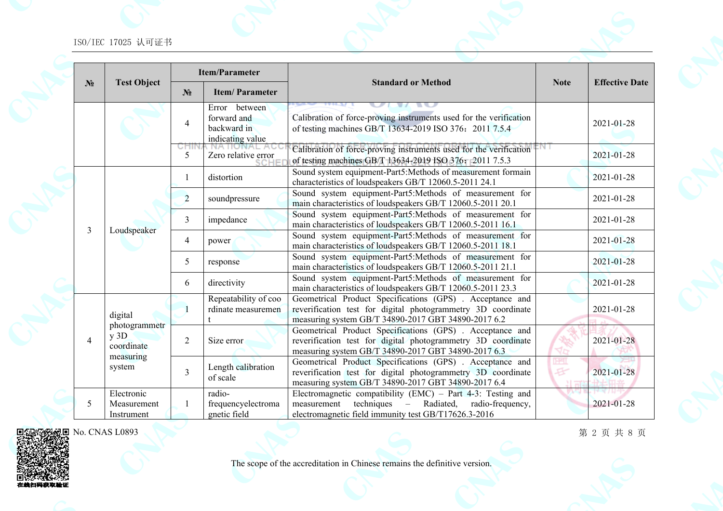|                |                                                                                                                                          |                | <b>Item/Parameter</b>                                           |                                                                                                                                                                                        |                          |                       |  |  |  |  |                |            |                                                                                                                                                                                 |  |            |
|----------------|------------------------------------------------------------------------------------------------------------------------------------------|----------------|-----------------------------------------------------------------|----------------------------------------------------------------------------------------------------------------------------------------------------------------------------------------|--------------------------|-----------------------|--|--|--|--|----------------|------------|---------------------------------------------------------------------------------------------------------------------------------------------------------------------------------|--|------------|
| N <sub>2</sub> | <b>Test Object</b>                                                                                                                       | $N_2$          | <b>Item/Parameter</b>                                           | <b>Standard or Method</b>                                                                                                                                                              | <b>Note</b>              | <b>Effective Date</b> |  |  |  |  |                |            |                                                                                                                                                                                 |  |            |
|                |                                                                                                                                          | $\overline{4}$ | Error between<br>forward and<br>backward in<br>indicating value | Calibration of force-proving instruments used for the verification<br>of testing machines GB/T 13634-2019 ISO 376: 2011 7.5.4                                                          |                          | 2021-01-28            |  |  |  |  |                |            |                                                                                                                                                                                 |  |            |
|                |                                                                                                                                          | CHII<br>5      | Zero relative error                                             | Calibration of force-proving instruments used for the verification<br>of testing machines GB/T 13634-2019 ISO 376: 2011 7.5.3                                                          | мı                       | 2021-01-28            |  |  |  |  |                |            |                                                                                                                                                                                 |  |            |
|                |                                                                                                                                          | 1              | distortion                                                      | Sound system equipment-Part5:Methods of measurement formain<br>characteristics of loudspeakers GB/T 12060.5-2011 24.1                                                                  |                          | 2021-01-28            |  |  |  |  |                |            |                                                                                                                                                                                 |  |            |
|                |                                                                                                                                          | $\overline{2}$ | soundpressure                                                   | Sound system equipment-Part5:Methods of measurement for<br>main characteristics of loudspeakers GB/T 12060.5-2011 20.1                                                                 |                          | 2021-01-28            |  |  |  |  |                |            |                                                                                                                                                                                 |  |            |
|                | Sound system equipment-Part5:Methods of measurement for<br>3<br>impedance<br>main characteristics of loudspeakers GB/T 12060.5-2011 16.1 |                | 2021-01-28                                                      |                                                                                                                                                                                        |                          |                       |  |  |  |  |                |            |                                                                                                                                                                                 |  |            |
| $\overline{3}$ | Loudspeaker                                                                                                                              | 4              | power                                                           | Sound system equipment-Part5:Methods of measurement for<br>main characteristics of loudspeakers GB/T 12060.5-2011 18.1                                                                 |                          | 2021-01-28            |  |  |  |  |                |            |                                                                                                                                                                                 |  |            |
|                | 5                                                                                                                                        |                | response                                                        | Sound system equipment-Part5:Methods of measurement for<br>main characteristics of loudspeakers GB/T 12060.5-2011 21.1                                                                 |                          | 2021-01-28            |  |  |  |  |                |            |                                                                                                                                                                                 |  |            |
|                |                                                                                                                                          | 6              | directivity                                                     | Sound system equipment-Part5:Methods of measurement for<br>main characteristics of loudspeakers GB/T 12060.5-2011 23.3                                                                 |                          | 2021-01-28            |  |  |  |  |                |            |                                                                                                                                                                                 |  |            |
|                | digital<br>photogrammetr<br>$y$ 3D<br>coordinate<br>measuring<br>system                                                                  |                | Repeatability of coo<br>rdinate measuremen                      | Geometrical Product Specifications (GPS). Acceptance and<br>reverification test for digital photogrammetry 3D coordinate<br>measuring system GB/T 34890-2017 GBT 34890-2017 6.2        |                          | 2021-01-28            |  |  |  |  |                |            |                                                                                                                                                                                 |  |            |
| $\overline{4}$ |                                                                                                                                          |                |                                                                 |                                                                                                                                                                                        |                          |                       |  |  |  |  | $\overline{2}$ | Size error | Geometrical Product Specifications (GPS). Acceptance and<br>reverification test for digital photogrammetry 3D coordinate<br>measuring system GB/T 34890-2017 GBT 34890-2017 6.3 |  | 2021-01-28 |
|                |                                                                                                                                          | $\overline{3}$ | Length calibration<br>of scale                                  | Geometrical Product Specifications (GPS). Acceptance and<br>reverification test for digital photogrammetry 3D coordinate<br>measuring system GB/T 34890-2017 GBT 34890-2017 6.4        | <b>DEST</b><br>E<br>21 ਜ | 2021-01-28            |  |  |  |  |                |            |                                                                                                                                                                                 |  |            |
| 5              | Electronic<br>Measurement<br>Instrument                                                                                                  |                | radio-<br>frequencyelectroma<br>gnetic field                    | Electromagnetic compatibility (EMC) – Part $4-3$ : Testing and<br>techniques<br>- Radiated,<br>radio-frequency,<br>measurement<br>electromagnetic field immunity test GB/T17626.3-2016 |                          | 2021-01-28            |  |  |  |  |                |            |                                                                                                                                                                                 |  |            |

No. CNAS L0893 回

第 2 页 共 8 页

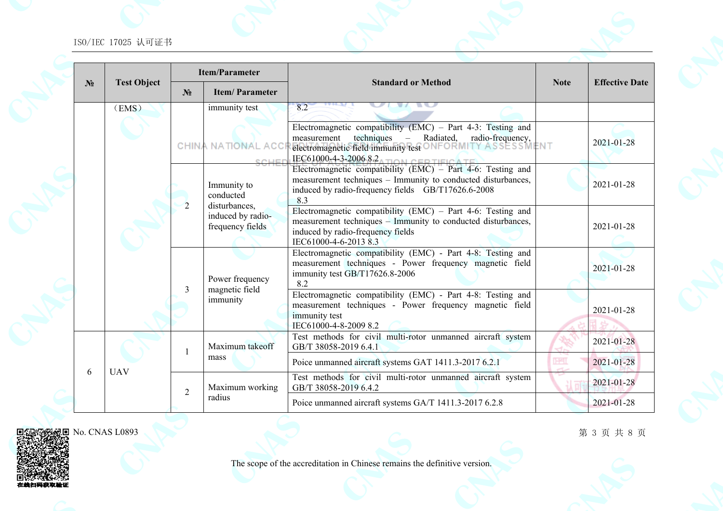|                |                    |                | <b>Item/Parameter</b>                                  |                                                                                                                                                                                                                                   |                                                                                                                                                                 |                       |            |
|----------------|--------------------|----------------|--------------------------------------------------------|-----------------------------------------------------------------------------------------------------------------------------------------------------------------------------------------------------------------------------------|-----------------------------------------------------------------------------------------------------------------------------------------------------------------|-----------------------|------------|
| N <sub>2</sub> | <b>Test Object</b> | $N_2$          | <b>Item/Parameter</b>                                  | <b>Standard or Method</b>                                                                                                                                                                                                         | <b>Note</b>                                                                                                                                                     | <b>Effective Date</b> |            |
|                | (EMS)              |                | immunity test                                          | 8.2                                                                                                                                                                                                                               |                                                                                                                                                                 |                       |            |
|                |                    |                | <b>CHINA NATIONAL ACCI</b><br><b>COLLE</b>             | Electromagnetic compatibility (EMC) – Part 4-3: Testing and<br>techniques<br>radio-frequency,<br>Radiated,<br>measurement<br>electromagnetic field immunity test ONFORMITY ASSESSMENT<br>IEC61000-4-3-2006 8.2 A TION CERTIFICATE |                                                                                                                                                                 | 2021-01-28            |            |
|                |                    | 2              | Immunity to<br>conducted                               | Electromagnetic compatibility (EMC) - Part 4-6: Testing and<br>measurement techniques - Immunity to conducted disturbances,<br>induced by radio-frequency fields GB/T17626.6-2008<br>8.3                                          |                                                                                                                                                                 | 2021-01-28            |            |
|                |                    |                | disturbances,<br>induced by radio-<br>frequency fields | Electromagnetic compatibility (EMC) - Part 4-6: Testing and<br>measurement techniques – Immunity to conducted disturbances,<br>induced by radio-frequency fields<br>IEC61000-4-6-2013 8.3                                         |                                                                                                                                                                 | 2021-01-28            |            |
|                |                    |                | $\mathcal{E}$                                          | Power frequency<br>magnetic field                                                                                                                                                                                                 | Electromagnetic compatibility (EMC) - Part 4-8: Testing and<br>measurement techniques - Power frequency magnetic field<br>immunity test GB/T17626.8-2006<br>8.2 |                       | 2021-01-28 |
|                |                    |                | immunity                                               | Electromagnetic compatibility (EMC) - Part 4-8: Testing and<br>measurement techniques - Power frequency magnetic field<br>immunity test<br>IEC61000-4-8-2009 8.2                                                                  |                                                                                                                                                                 | 2021-01-28            |            |
|                |                    | $\mathbf{1}$   | Maximum takeoff                                        | Test methods for civil multi-rotor unmanned aircraft system<br>GB/T 38058-2019 6.4.1                                                                                                                                              |                                                                                                                                                                 | 2021-01-28            |            |
| 6              | <b>UAV</b>         |                | mass                                                   | Poice unmanned aircraft systems GAT 1411.3-2017 6.2.1                                                                                                                                                                             | <b>IHAI</b>                                                                                                                                                     | 2021-01-28            |            |
|                |                    | $\overline{2}$ | Maximum working                                        | Test methods for civil multi-rotor unmanned aircraft system<br>GB/T 38058-2019 6.4.2                                                                                                                                              |                                                                                                                                                                 | 2021-01-28            |            |
|                |                    |                | radius                                                 | Poice unmanned aircraft systems GA/T 1411.3-2017 6.2.8                                                                                                                                                                            |                                                                                                                                                                 | 2021-01-28            |            |



回

在线

No. CNAS L0893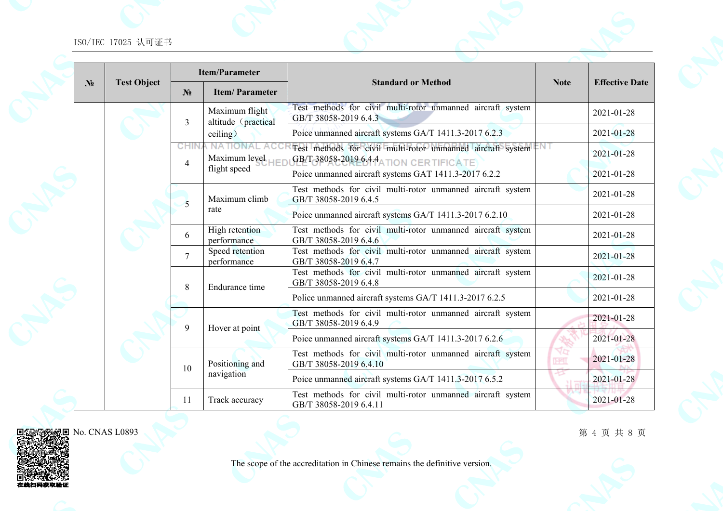|       | <b>Test Object</b> | <b>Item/Parameter</b> |                                          |                                                                                                       |             |                       |
|-------|--------------------|-----------------------|------------------------------------------|-------------------------------------------------------------------------------------------------------|-------------|-----------------------|
| $N_2$ |                    | $N_2$                 | <b>Item/Parameter</b>                    | <b>Standard or Method</b>                                                                             | <b>Note</b> | <b>Effective Date</b> |
|       |                    | $\overline{3}$        | Maximum flight<br>altitude (practical    | Test methods for civil multi-rotor unmanned aircraft system<br>GB/T 38058-2019 6.4.3                  |             | 2021-01-28            |
|       |                    |                       | ceiling)                                 | Poice unmanned aircraft systems GA/T 1411.3-2017 6.2.3                                                |             | 2021-01-28            |
|       |                    | CHIN<br>4             | <b>NATIONAL ACC</b><br>Maximum level $H$ | Test methods for civil multi-rotor unmanned aircraft system<br>GB/T 38058-2019 6.4.4 TION CERTIFICATE |             | 2021-01-28            |
|       |                    |                       | flight speed                             | Poice unmanned aircraft systems GAT 1411.3-2017 6.2.2                                                 |             | 2021-01-28            |
|       |                    | 5                     | Maximum climb                            | Test methods for civil multi-rotor unmanned aircraft system<br>GB/T 38058-2019 6.4.5                  |             | 2021-01-28            |
|       |                    |                       | rate                                     | Poice unmanned aircraft systems GA/T 1411.3-2017 6.2.10                                               |             | 2021-01-28            |
|       |                    | 6                     | High retention<br>performance            | Test methods for civil multi-rotor unmanned aircraft system<br>GB/T 38058-2019 6.4.6                  |             | 2021-01-28            |
|       |                    | $\overline{7}$        | Speed retention<br>performance           | Test methods for civil multi-rotor unmanned aircraft system<br>GB/T 38058-2019 6.4.7                  |             | 2021-01-28            |
|       |                    | 8                     | Endurance time                           | Test methods for civil multi-rotor unmanned aircraft system<br>GB/T 38058-2019 6.4.8                  |             | 2021-01-28            |
|       |                    |                       |                                          | Police unmanned aircraft systems GA/T 1411.3-2017 6.2.5                                               |             | 2021-01-28            |
|       |                    | 9                     | Hover at point                           | Test methods for civil multi-rotor unmanned aircraft system<br>GB/T 38058-2019 6.4.9                  |             | 2021-01-28            |
|       |                    |                       |                                          | Poice unmanned aircraft systems GA/T 1411.3-2017 6.2.6                                                |             | 2021-01-28            |
|       |                    | 10                    | Positioning and                          | Test methods for civil multi-rotor unmanned aircraft system<br>GB/T 38058-2019 6.4.10                 | <b>HEL</b>  | 2021-01-28            |
|       |                    |                       | navigation                               | Poice unmanned aircraft systems GA/T 1411.3-2017 6.5.2                                                |             | 2021-01-28            |
|       |                    | 11                    | Track accuracy                           | Test methods for civil multi-rotor unmanned aircraft system<br>GB/T 38058-2019 6.4.11                 |             | 2021-01-28            |



在线扫码获取

No. CNAS L0893

第 4 页 共 8 页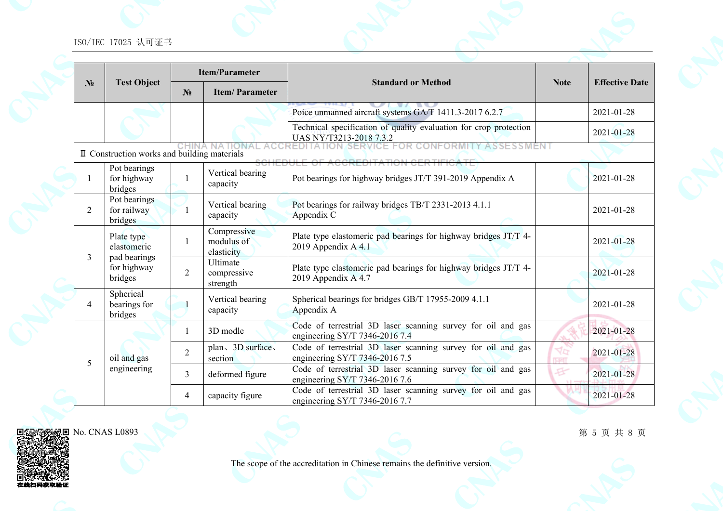|                |                                              |                | <b>Item/Parameter</b>                   |                                                                                                |                    |                       |
|----------------|----------------------------------------------|----------------|-----------------------------------------|------------------------------------------------------------------------------------------------|--------------------|-----------------------|
| N <sub>2</sub> | <b>Test Object</b>                           | $N_2$          | <b>Item/Parameter</b>                   | <b>Standard or Method</b>                                                                      | <b>Note</b>        | <b>Effective Date</b> |
|                |                                              |                |                                         | Poice unmanned aircraft systems GA/T 1411.3-2017 6.2.7                                         |                    | 2021-01-28            |
|                |                                              |                |                                         | Technical specification of quality evaluation for crop protection<br>UAS NY/T3213-2018 7.3.2   |                    | 2021-01-28            |
|                | II Construction works and building materials |                |                                         | SERVIC<br><b>CREDITATION CERTIFIC</b>                                                          |                    |                       |
| 1              | Pot bearings<br>for highway<br>bridges       | 1              | Vertical bearing<br>capacity            | Pot bearings for highway bridges JT/T 391-2019 Appendix A                                      |                    | 2021-01-28            |
| 2              | Pot bearings<br>for railway<br>bridges       |                | Vertical bearing<br>capacity            | Pot bearings for railway bridges TB/T 2331-2013 4.1.1<br>Appendix C                            |                    | 2021-01-28            |
|                | Plate type<br>elastomeric                    | 1              | Compressive<br>modulus of<br>elasticity | Plate type elastomeric pad bearings for highway bridges JT/T 4-<br>2019 Appendix A 4.1         |                    | 2021-01-28            |
| 3              | pad bearings<br>for highway<br>bridges       | $\overline{2}$ | Ultimate<br>compressive<br>strength     | Plate type elastomeric pad bearings for highway bridges JT/T 4-<br>2019 Appendix A 4.7         |                    | 2021-01-28            |
| 4              | Spherical<br>bearings for<br>bridges         |                | Vertical bearing<br>capacity            | Spherical bearings for bridges GB/T 17955-2009 4.1.1<br>Appendix A                             |                    | 2021-01-28            |
|                |                                              | 1              | 3D modle                                | Code of terrestrial 3D laser scanning survey for oil and gas<br>engineering SY/T 7346-2016 7.4 |                    | 2021-01-28            |
|                | oil and gas                                  | $\overline{2}$ | plan、3D surface、<br>section             | Code of terrestrial 3D laser scanning survey for oil and gas<br>engineering SY/T 7346-2016 7.5 | 7q<br><b>Takel</b> | 2021-01-28            |
| 5              | engineering                                  | $\overline{3}$ | deformed figure                         | Code of terrestrial 3D laser scanning survey for oil and gas<br>engineering SY/T 7346-2016 7.6 | $\mathbf{F}$       | 2021-01-28            |
|                |                                              | $\overline{4}$ | capacity figure                         | Code of terrestrial 3D laser scanning survey for oil and gas<br>engineering SY/T 7346-2016 7.7 |                    | 2021-01-28            |



在线扫码获取

第 5 页 共 8 页

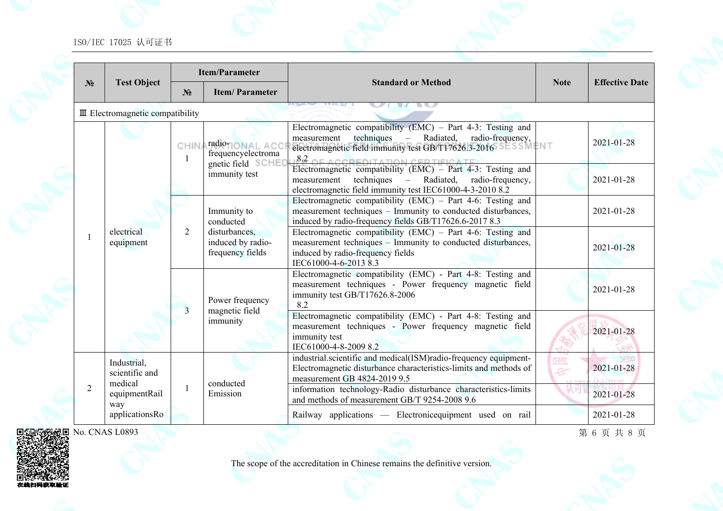|                |                                            |                                                                                                                                                                                                                                                                                                                                                                                                                                                                                                                                                                                                                                                                                           | <b>Item/Parameter</b>                                              |                                                                                                                                                                                                        |                             |                       |
|----------------|--------------------------------------------|-------------------------------------------------------------------------------------------------------------------------------------------------------------------------------------------------------------------------------------------------------------------------------------------------------------------------------------------------------------------------------------------------------------------------------------------------------------------------------------------------------------------------------------------------------------------------------------------------------------------------------------------------------------------------------------------|--------------------------------------------------------------------|--------------------------------------------------------------------------------------------------------------------------------------------------------------------------------------------------------|-----------------------------|-----------------------|
| N <sub>2</sub> | <b>Test Object</b>                         | $N_2$                                                                                                                                                                                                                                                                                                                                                                                                                                                                                                                                                                                                                                                                                     | <b>Item/Parameter</b>                                              | <b>Standard or Method</b>                                                                                                                                                                              | <b>Note</b>                 | <b>Effective Date</b> |
|                | $\mathbb{I}$ Electromagnetic compatibility |                                                                                                                                                                                                                                                                                                                                                                                                                                                                                                                                                                                                                                                                                           |                                                                    |                                                                                                                                                                                                        |                             |                       |
|                |                                            | <b>CHIN</b><br>$\mathbf{1}$                                                                                                                                                                                                                                                                                                                                                                                                                                                                                                                                                                                                                                                               | <b>radiotionAL ACC</b><br>frequencyelectroma<br>gnetic field SCHEI | Electromagnetic compatibility (EMC) – Part 4-3: Testing and<br>techniques<br>Radiated,<br>radio-frequency,<br>measurement<br>$\equiv$<br>electromagnetic field immunity test GB/T17626.3-2016 SESSMENT |                             | 2021-01-28            |
|                |                                            | $8.2$ CCREDITATION (EMC) – Part 4-3: Testing and<br>immunity test<br>techniques – Radiated,<br>radio-frequency,<br>measurement<br>electromagnetic field immunity test IEC61000-4-3-2010 8.2<br>Electromagnetic compatibility (EMC) – Part 4-6: Testing and<br>measurement techniques - Immunity to conducted disturbances,<br>Immunity to<br>induced by radio-frequency fields GB/T17626.6-2017 8.3<br>conducted<br>Electromagnetic compatibility (EMC) – Part 4-6: Testing and<br>$\overline{2}$<br>disturbances,<br>measurement techniques - Immunity to conducted disturbances,<br>induced by radio-<br>frequency fields<br>induced by radio-frequency fields<br>IEC61000-4-6-2013 8.3 |                                                                    | 2021-01-28                                                                                                                                                                                             |                             |                       |
|                |                                            |                                                                                                                                                                                                                                                                                                                                                                                                                                                                                                                                                                                                                                                                                           |                                                                    | 2021-01-28                                                                                                                                                                                             |                             |                       |
| $\mathbf{1}$   | electrical<br>equipment                    |                                                                                                                                                                                                                                                                                                                                                                                                                                                                                                                                                                                                                                                                                           |                                                                    |                                                                                                                                                                                                        |                             | 2021-01-28            |
|                |                                            | $\overline{3}$                                                                                                                                                                                                                                                                                                                                                                                                                                                                                                                                                                                                                                                                            | Power frequency                                                    | Electromagnetic compatibility (EMC) - Part 4-8: Testing and<br>measurement techniques - Power frequency magnetic field<br>immunity test GB/T17626.8-2006<br>8.2                                        |                             | 2021-01-28            |
|                |                                            |                                                                                                                                                                                                                                                                                                                                                                                                                                                                                                                                                                                                                                                                                           | magnetic field<br>immunity                                         | Electromagnetic compatibility (EMC) - Part 4-8: Testing and<br>measurement techniques - Power frequency magnetic field<br>immunity test<br>IEC61000-4-8-2009 8.2                                       |                             | 2021-01-28            |
|                | Industrial,<br>scientific and<br>medical   |                                                                                                                                                                                                                                                                                                                                                                                                                                                                                                                                                                                                                                                                                           | conducted                                                          | industrial.scientific and medical(ISM)radio-frequency equipment-<br>Electromagnetic disturbance characteristics-limits and methods of<br>measurement GB 4824-2019 9.5                                  | <b>IHAI</b><br>$\mathbf{F}$ | 2021-01-28            |
| $\overline{2}$ | equipmentRail<br>way                       | 1                                                                                                                                                                                                                                                                                                                                                                                                                                                                                                                                                                                                                                                                                         | Emission                                                           | information technology-Radio disturbance characteristics-limits<br>and methods of measurement GB/T 9254-2008 9.6                                                                                       |                             | 2021-01-28            |
|                | applicationsRo                             |                                                                                                                                                                                                                                                                                                                                                                                                                                                                                                                                                                                                                                                                                           |                                                                    | Railway applications — Electronic equipment used on rail                                                                                                                                               |                             | 2021-01-28            |
|                | No. CNAS L0893                             |                                                                                                                                                                                                                                                                                                                                                                                                                                                                                                                                                                                                                                                                                           |                                                                    |                                                                                                                                                                                                        |                             | 第6页共8页                |

No. CNAS L0893 回

在线扫码获取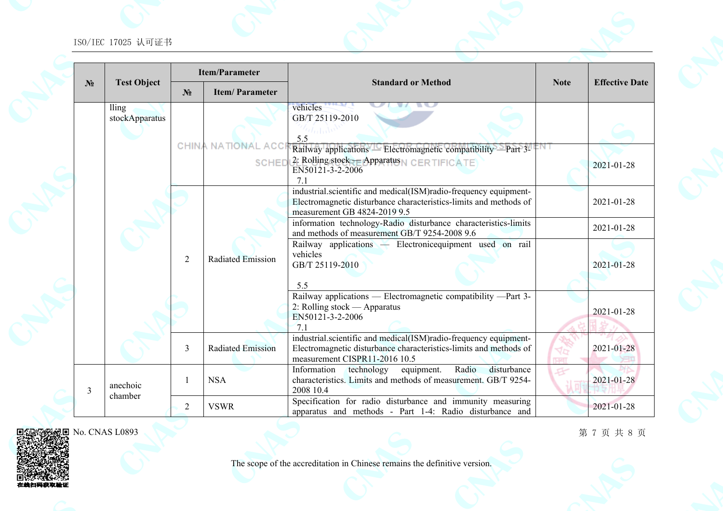|                |                         |                | <b>Item/Parameter</b>                     |                                                                                                                                                                              |             |                       |
|----------------|-------------------------|----------------|-------------------------------------------|------------------------------------------------------------------------------------------------------------------------------------------------------------------------------|-------------|-----------------------|
| N <sub>2</sub> | <b>Test Object</b>      | N <sub>2</sub> | <b>Item/Parameter</b>                     | <b>Standard or Method</b>                                                                                                                                                    | <b>Note</b> | <b>Effective Date</b> |
|                | lling<br>stockApparatus |                | <b>CHINA NATIONAL ACC</b><br><b>SCHEI</b> | vehicles<br>GB/T 25119-2010<br>5.5<br>Railway applications — Electromagnetic compatibility —Part 3-<br>2. Rolling stock = Apparatus N CERTIFICATE<br>EN50121-3-2-2006        |             | 2021-01-28            |
|                |                         |                |                                           | 71<br>industrial.scientific and medical(ISM)radio-frequency equipment-<br>Electromagnetic disturbance characteristics-limits and methods of<br>measurement GB 4824-2019 9.5  |             | 2021-01-28            |
|                |                         |                |                                           | information technology-Radio disturbance characteristics-limits<br>and methods of measurement GB/T 9254-2008 9.6<br>Railway applications - Electronic equipment used on rail |             | 2021-01-28            |
|                |                         | $\overline{2}$ | <b>Radiated Emission</b>                  | vehicles<br>GB/T 25119-2010<br>5.5                                                                                                                                           |             | 2021-01-28            |
|                |                         |                |                                           | Railway applications — Electromagnetic compatibility —Part 3-<br>2: Rolling stock — Apparatus<br>EN50121-3-2-2006<br>7.1                                                     |             | 2021-01-28            |
|                |                         | 3              | <b>Radiated Emission</b>                  | industrial.scientific and medical(ISM)radio-frequency equipment-<br>Electromagnetic disturbance characteristics-limits and methods of<br>measurement CISPR11-2016 10.5       |             | 2021-01-28            |
| 3              | anechoic                |                | <b>NSA</b>                                | Radio<br>Information<br>equipment.<br>disturbance<br>technology<br>characteristics. Limits and methods of measurement. GB/T 9254-<br>2008 10.4                               |             | 2021-01-28            |
|                | chamber                 | 2              | <b>VSWR</b>                               | Specification for radio disturbance and immunity measuring<br>apparatus and methods - Part 1-4: Radio disturbance and                                                        |             | 2021-01-28            |



在线扫码获取

The scope of the accreditation in Chinese remains the definitive version.

第 7 页 共 8 页